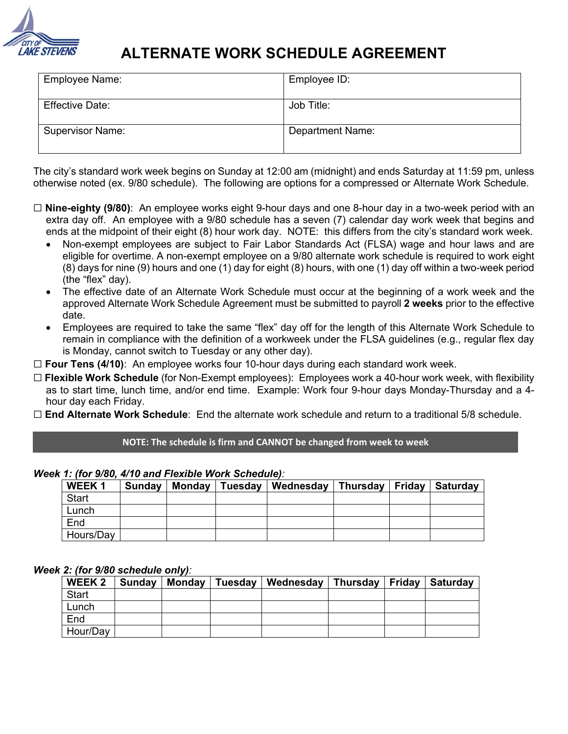

# **ALTERNATE WORK SCHEDULE AGREEMENT**

| <b>Employee Name:</b>   | Employee ID:            |
|-------------------------|-------------------------|
| <b>Effective Date:</b>  | Job Title:              |
| <b>Supervisor Name:</b> | <b>Department Name:</b> |

The city's standard work week begins on Sunday at 12:00 am (midnight) and ends Saturday at 11:59 pm, unless otherwise noted (ex. 9/80 schedule). The following are options for a compressed or Alternate Work Schedule.

- ☐ **Nine-eighty (9/80)**: An employee works eight 9-hour days and one 8-hour day in a two-week period with an extra day off. An employee with a 9/80 schedule has a seven (7) calendar day work week that begins and ends at the midpoint of their eight (8) hour work day. NOTE: this differs from the city's standard work week.
	- Non-exempt employees are subject to Fair Labor Standards Act (FLSA) wage and hour laws and are eligible for overtime. A non-exempt employee on a 9/80 alternate work schedule is required to work eight (8) days for nine (9) hours and one (1) day for eight (8) hours, with one (1) day off within a two-week period (the "flex" day).
	- The effective date of an Alternate Work Schedule must occur at the beginning of a work week and the approved Alternate Work Schedule Agreement must be submitted to payroll **2 weeks** prior to the effective date.
	- Employees are required to take the same "flex" day off for the length of this Alternate Work Schedule to remain in compliance with the definition of a workweek under the FLSA guidelines (e.g., regular flex day is Monday, cannot switch to Tuesday or any other day).

☐ **Four Tens (4/10)**: An employee works four 10-hour days during each standard work week.

- ☐ **Flexible Work Schedule** (for Non-Exempt employees): Employees work a 40-hour work week, with flexibility as to start time, lunch time, and/or end time. Example: Work four 9-hour days Monday-Thursday and a 4 hour day each Friday.
- ☐ **End Alternate Work Schedule**: End the alternate work schedule and return to a traditional 5/8 schedule.

**NOTE: The schedule is firm and CANNOT be changed from week to week**

*Week 1: (for 9/80, 4/10 and Flexible Work Schedule):* 

| <b>WEEK1</b> | <b>Sunday</b> | Monday   Tuesday | Wednesday | Thursday   Friday | <b>Saturday</b> |
|--------------|---------------|------------------|-----------|-------------------|-----------------|
| <b>Start</b> |               |                  |           |                   |                 |
| Lunch        |               |                  |           |                   |                 |
| End          |               |                  |           |                   |                 |
| Hours/Day    |               |                  |           |                   |                 |

#### *Week 2: (for 9/80 schedule only):*

| <b>WEEK 2</b> | Sunday | Monday   Tuesday | Wednesday | Thursday   Friday   Saturday |  |
|---------------|--------|------------------|-----------|------------------------------|--|
| <b>Start</b>  |        |                  |           |                              |  |
| Lunch         |        |                  |           |                              |  |
| End           |        |                  |           |                              |  |
| Hour/Day      |        |                  |           |                              |  |